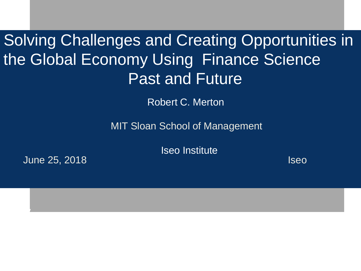Solving Challenges and Creating Opportunities in the Global Economy Using Finance Science Past and Future

Robert C. Merton

MIT Sloan School of Management

Iseo Institute

June 25, 2018 Iseo

v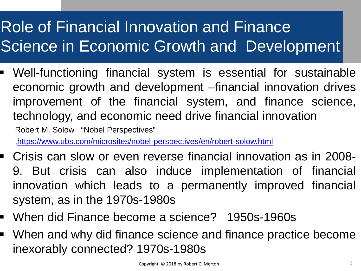# Role of Financial Innovation and Finance Science in Economic Growth and Development

- Well-functioning financial system is essential for sustainable economic growth and development –financial innovation drives improvement of the financial system, and finance science, technology, and economic need drive financial innovation Robert M. Solow "Nobel Perspectives" [,https://www.ubs.com/microsites/nobel-perspectives/en/robert-solow.html](https://www.ubs.com/microsites/nobel-perspectives/en/robert-solow.html)
- Crisis can slow or even reverse financial innovation as in 2008- 9. But crisis can also induce implementation of financial innovation which leads to a permanently improved financial system, as in the 1970s-1980s
- When did Finance become a science? 1950s-1960s
- When and why did finance science and finance practice become inexorably connected? 1970s-1980s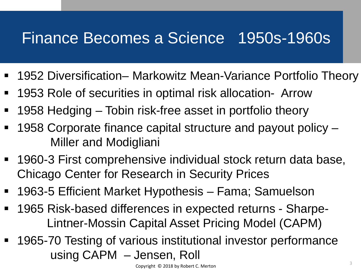# Finance Becomes a Science 1950s-1960s

- 1952 Diversification– Markowitz Mean-Variance Portfolio Theory
- 1953 Role of securities in optimal risk allocation- Arrow
- 1958 Hedging Tobin risk-free asset in portfolio theory
- 1958 Corporate finance capital structure and payout policy Miller and Modigliani
- 1960-3 First comprehensive individual stock return data base, Chicago Center for Research in Security Prices
- 1963-5 Efficient Market Hypothesis Fama; Samuelson
- 1965 Risk-based differences in expected returns Sharpe-Lintner-Mossin Capital Asset Pricing Model (CAPM)
- 1965-70 Testing of various institutional investor performance using CAPM – Jensen, Roll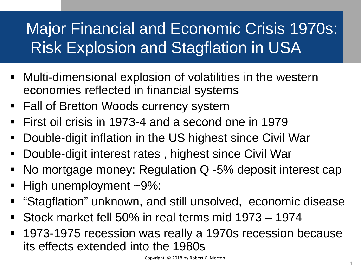# Major Financial and Economic Crisis 1970s: Risk Explosion and Stagflation in USA

- Multi-dimensional explosion of volatilities in the western economies reflected in financial systems
- Fall of Bretton Woods currency system
- First oil crisis in 1973-4 and a second one in 1979
- Double-digit inflation in the US highest since Civil War
- Double-digit interest rates , highest since Civil War
- No mortgage money: Regulation Q -5% deposit interest cap
- High unemployment ~9%:
- "Stagflation" unknown, and still unsolved, economic disease
- Stock market fell 50% in real terms mid 1973 1974
- 1973-1975 recession was really a 1970s recession because its effects extended into the 1980s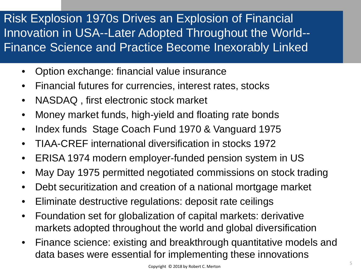# Risk Explosion 1970s Drives an Explosion of Financial Innovation in USA--Later Adopted Throughout the World-- Finance Science and Practice Become Inexorably Linked

- Option exchange: financial value insurance
- Financial futures for currencies, interest rates, stocks
- NASDAQ , first electronic stock market
- Money market funds, high-yield and floating rate bonds
- Index funds Stage Coach Fund 1970 & Vanguard 1975
- TIAA-CREF international diversification in stocks 1972
- ERISA 1974 modern employer-funded pension system in US
- May Day 1975 permitted negotiated commissions on stock trading
- Debt securitization and creation of a national mortgage market
- Eliminate destructive regulations: deposit rate ceilings
- Foundation set for globalization of capital markets: derivative markets adopted throughout the world and global diversification
- Finance science: existing and breakthrough quantitative models and data bases were essential for implementing these innovations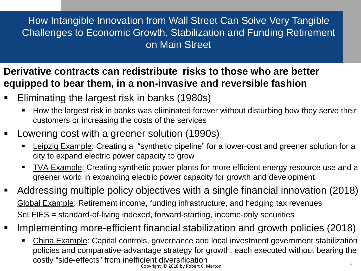How Intangible Innovation from Wall Street Can Solve Very Tangible Challenges to Economic Growth, Stabilization and Funding Retirement on Main Street

- **Derivative contracts can redistribute risks to those who are better equipped to bear them, in a non-invasive and reversible fashion**
- Eliminating the largest risk in banks (1980s)
	- How the largest risk in banks was eliminated forever without disturbing how they serve their customers or increasing the costs of the services
- Lowering cost with a greener solution (1990s)
	- Leipzig Example: Creating a "synthetic pipeline" for a lower-cost and greener solution for a city to expand electric power capacity to grow
	- TVA Example: Creating synthetic power plants for more efficient energy resource use and a greener world in expanding electric power capacity for growth and development
- Addressing multiple policy objectives with a single financial innovation (2018) Global Example: Retirement income, funding infrastructure, and hedging tax revenues SeLFIES = standard-of-living indexed, forward-starting, income-only securities
- Implementing more-efficient financial stabilization and growth policies (2018)
	- China Example: Capital controls, governance and local investment government stabilization policies and comparative-advantage strategy for growth, each executed without bearing the costly "side-effects" from inefficient diversification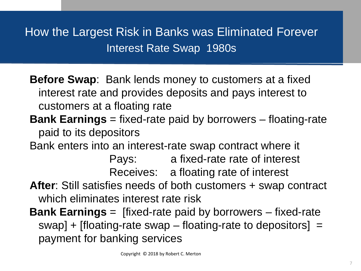# How the Largest Risk in Banks was Eliminated Forever Interest Rate Swap 1980s

**Before Swap**: Bank lends money to customers at a fixed interest rate and provides deposits and pays interest to customers at a floating rate

- **Bank Earnings** = fixed-rate paid by borrowers floating-rate paid to its depositors
- Bank enters into an interest-rate swap contract where it

Pays: a fixed-rate rate of interest Receives: a floating rate of interest

- **After**: Still satisfies needs of both customers + swap contract which eliminates interest rate risk
- **Bank Earnings** = [fixed-rate paid by borrowers fixed-rate swap] + [floating-rate swap – floating-rate to depositors] = payment for banking services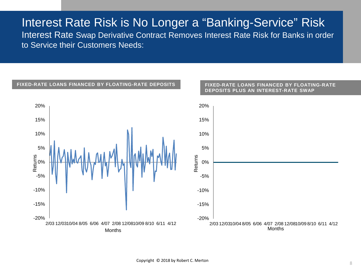### Interest Rate Risk is No Longer a "Banking-Service" Risk

Interest Rate Swap Derivative Contract Removes Interest Rate Risk for Banks in order to Service their Customers Needs:

#### **FIXED-RATE LOANS FINANCED BY FLOATING-RATE DEPOSITS PLUS AN INTEREST-RATE SWAP FIXED-RATE LOANS FINANCED BY FLOATING-RATE DEPOSITS** -20% -15% -10% -5% 0% 5% 10% 15% 20% 2/03 12/0310/04 8/05 6/06 4/07 2/08 12/0810/09 8/10 6/11 4/12 Returns **Months** -20% -15% -10% -5% 0% 5% 10% 15% 20% 2/03 12/0310/04 8/05 6/06 4/07 2/08 12/0810/09 8/10 6/11 4/12 Returns Months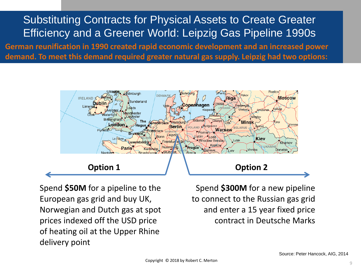Substituting Contracts for Physical Assets to Create Greater Efficiency and a Greener World: Leipzig Gas Pipeline 1990s **German reunification in 1990 created rapid economic development and an increased power demand. To meet this demand required greater natural gas supply. Leipzig had two options:**



Spend **\$50M** for a pipeline to the European gas grid and buy UK, Norwegian and Dutch gas at spot prices indexed off the USD price of heating oil at the Upper Rhine delivery point

Spend **\$300M** for a new pipeline to connect to the Russian gas grid and enter a 15 year fixed price contract in Deutsche Marks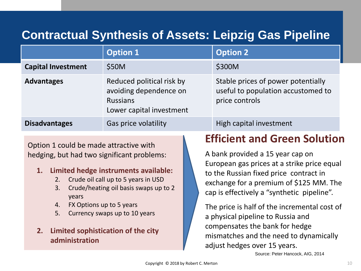# **Contractual Synthesis of Assets: Leipzig Gas Pipeline**

|                           | <b>Option 1</b>                                                                                    | <b>Option 2</b>                                                                            |
|---------------------------|----------------------------------------------------------------------------------------------------|--------------------------------------------------------------------------------------------|
| <b>Capital Investment</b> | \$50M                                                                                              | \$300M                                                                                     |
| <b>Advantages</b>         | Reduced political risk by<br>avoiding dependence on<br><b>Russians</b><br>Lower capital investment | Stable prices of power potentially<br>useful to population accustomed to<br>price controls |
| <b>Disadvantages</b>      | Gas price volatility                                                                               | High capital investment                                                                    |

Option 1 could be made attractive with hedging, but had two significant problems:

- **1. Limited hedge instruments available:**
	- 2. Crude oil call up to 5 years in USD
	- 3. Crude/heating oil basis swaps up to 2 years
	- 4. FX Options up to 5 years
	- 5. Currency swaps up to 10 years
- **2. Limited sophistication of the city administration**

### **Efficient and Green Solution**

A bank provided a 15 year cap on European gas prices at a strike price equal to the Russian fixed price contract in exchange for a premium of \$125 MM. The cap is effectively a "synthetic pipeline".

The price is half of the incremental cost of a physical pipeline to Russia and compensates the bank for hedge mismatches and the need to dynamically adjust hedges over 15 years.

Source: Peter Hancock, AIG, 2014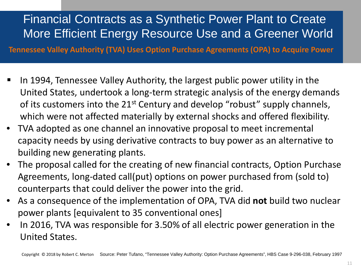# Financial Contracts as a Synthetic Power Plant to Create More Efficient Energy Resource Use and a Greener World

**Tennessee Valley Authority (TVA) Uses Option Purchase Agreements (OPA) to Acquire Power** 

- In 1994, Tennessee Valley Authority, the largest public power utility in the United States, undertook a long-term strategic analysis of the energy demands of its customers into the 21<sup>st</sup> Century and develop "robust" supply channels, which were not affected materially by external shocks and offered flexibility.
- TVA adopted as one channel an innovative proposal to meet incremental capacity needs by using derivative contracts to buy power as an alternative to building new generating plants.
- The proposal called for the creating of new financial contracts, Option Purchase Agreements, long-dated call(put) options on power purchased from (sold to) counterparts that could deliver the power into the grid.
- As a consequence of the implementation of OPA, TVA did **not** build two nuclear power plants [equivalent to 35 conventional ones]
- In 2016, TVA was responsible for 3.50% of all electric power generation in the United States.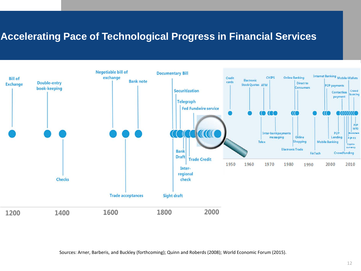#### **Accelerating Pace of Technological Progress in Financial Services**



Sources: Arner, Barberis, and Buckley (forthcoming); Quinn and Roberds (2008); World Economic Forum (2015).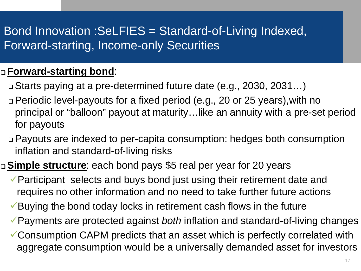# Bond Innovation :SeLFIES = Standard-of-Living Indexed, Forward-starting, Income-only Securities

#### **Forward-starting bond**:

- Starts paying at a pre-determined future date (e.g., 2030, 2031…)
- Periodic level-payouts for a fixed period (e.g., 20 or 25 years),with no principal or "balloon" payout at maturity…like an annuity with a pre-set period for payouts
- Payouts are indexed to per-capita consumption: hedges both consumption inflation and standard-of-living risks

#### **Simple structure**: each bond pays \$5 real per year for 20 years

Participant selects and buys bond just using their retirement date and requires no other information and no need to take further future actions

- $\checkmark$  Buying the bond today locks in retirement cash flows in the future
- Payments are protected against *both* inflation and standard-of-living changes
- Consumption CAPM predicts that an asset which is perfectly correlated with aggregate consumption would be a universally demanded asset for investors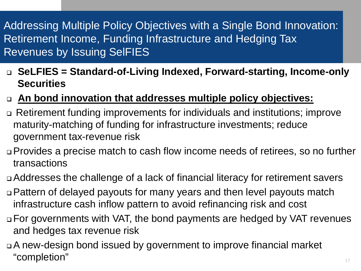### Addressing Multiple Policy Objectives with a Single Bond Innovation: Retirement Income, Funding Infrastructure and Hedging Tax Revenues by Issuing SelFIES

- **SeLFIES = Standard-of-Living Indexed, Forward-starting, Income-only Securities**
- **An bond innovation that addresses multiple policy objectives:**
- Retirement funding improvements for individuals and institutions; improve maturity-matching of funding for infrastructure investments; reduce government tax-revenue risk
- Provides a precise match to cash flow income needs of retirees, so no further transactions
- Addresses the challenge of a lack of financial literacy for retirement savers
- Pattern of delayed payouts for many years and then level payouts match infrastructure cash inflow pattern to avoid refinancing risk and cost
- For governments with VAT, the bond payments are hedged by VAT revenues and hedges tax revenue risk
- A new-design bond issued by government to improve financial market "completion"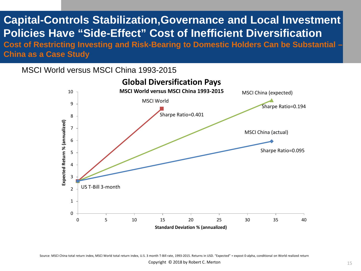**Capital-Controls Stabilization,Governance and Local Investment Policies Have "Side-Effect" Cost of Inefficient Diversification Cost of Restricting Investing and Risk-Bearing to Domestic Holders Can be Substantial – China as a Case Study**

MSCI World versus MSCI China 1993-2015



Source: MSCI China total return index, MSCI World total return index, U.S. 3 month T-Bill rate, 1993-2015. Returns in USD. "Expected" = expost 0-alpha, conditional on World realized return

**Copyright © 2018 by Robert C. Merton 15 and 15 and 15 and 16 and 16 and 16 and 16 and 16 and 16 and 15 and 16 and 16 and 16 and 16 and 16 and 16 and 16 and 16 and 16 and 16 and 16 and 16 and 16 and 16 and 16 and 16 and 1**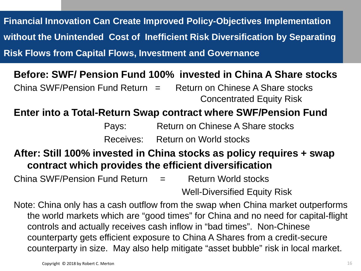**Financial Innovation Can Create Improved Policy-Objectives Implementation without the Unintended Cost of Inefficient Risk Diversification by Separating Risk Flows from Capital Flows, Investment and Governance**

#### **Before: SWF/ Pension Fund 100% invested in China A Share stocks**

China SWF/Pension Fund Return  $=$  Return on Chinese A Share stocks Concentrated Equity Risk

#### **Enter into a Total-Return Swap contract where SWF/Pension Fund**

| Pays: | Return on Chinese A Share stocks |
|-------|----------------------------------|
|       | Receives: Return on World stocks |

#### **After: Still 100% invested in China stocks as policy requires + swap contract which provides the efficient diversification**

China SWF/Pension Fund Return  $=$  Return World stocks

Well-Diversified Equity Risk

Note: China only has a cash outflow from the swap when China market outperforms the world markets which are "good times" for China and no need for capital-flight controls and actually receives cash inflow in "bad times". Non-Chinese counterparty gets efficient exposure to China A Shares from a credit-secure counterparty in size. May also help mitigate "asset bubble" risk in local market.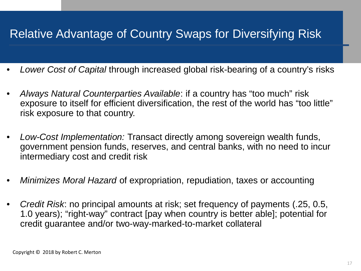# Relative Advantage of Country Swaps for Diversifying Risk

- *Lower Cost of Capital* through increased global risk-bearing of a country's risks
- *Always Natural Counterparties Available*: if a country has "too much" risk exposure to itself for efficient diversification, the rest of the world has "too little" risk exposure to that country.
- *Low-Cost Implementation:* Transact directly among sovereign wealth funds, government pension funds, reserves, and central banks, with no need to incur intermediary cost and credit risk
- *Minimizes Moral Hazard* of expropriation, repudiation, taxes or accounting
- *Credit Risk*: no principal amounts at risk; set frequency of payments (.25, 0.5, 1.0 years); "right-way" contract [pay when country is better able]; potential for credit guarantee and/or two-way-marked-to-market collateral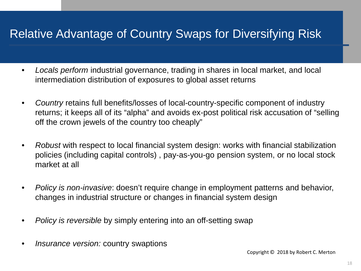# Relative Advantage of Country Swaps for Diversifying Risk

- *Locals perform* industrial governance, trading in shares in local market, and local intermediation distribution of exposures to global asset returns
- *Country* retains full benefits/losses of local-country-specific component of industry returns; it keeps all of its "alpha" and avoids ex-post political risk accusation of "selling off the crown jewels of the country too cheaply"
- *Robust* with respect to local financial system design: works with financial stabilization policies (including capital controls) , pay-as-you-go pension system, or no local stock market at all
- *Policy is non-invasive*: doesn't require change in employment patterns and behavior, changes in industrial structure or changes in financial system design
- *Policy is reversible* by simply entering into an off-setting swap
- *Insurance version:* country swaptions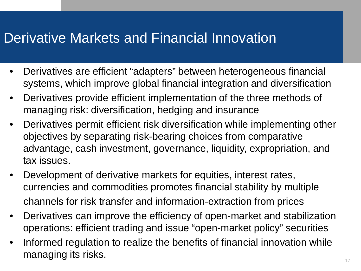# Derivative Markets and Financial Innovation

- Derivatives are efficient "adapters" between heterogeneous financial systems, which improve global financial integration and diversification
- Derivatives provide efficient implementation of the three methods of managing risk: diversification, hedging and insurance
- Derivatives permit efficient risk diversification while implementing other objectives by separating risk-bearing choices from comparative advantage, cash investment, governance, liquidity, expropriation, and tax issues.
- Development of derivative markets for equities, interest rates, currencies and commodities promotes financial stability by multiple channels for risk transfer and information-extraction from prices
- Derivatives can improve the efficiency of open-market and stabilization operations: efficient trading and issue "open-market policy" securities
- Informed regulation to realize the benefits of financial innovation while managing its risks.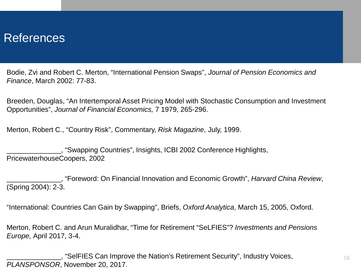#### References

Bodie, Zvi and Robert C. Merton, "International Pension Swaps", *Journal of Pension Economics and Finance*, March 2002: 77-83.

Breeden, Douglas, "An Intertemporal Asset Pricing Model with Stochastic Consumption and Investment Opportunities", *Journal of Financial Economics,* 7 1979, 265-296.

Merton, Robert C., "Country Risk", Commentary, *Risk Magazine*, July, 1999.

\_\_\_\_\_\_\_\_\_\_\_\_\_\_, "Swapping Countries", Insights, ICBI 2002 Conference Highlights, PricewaterhouseCoopers, 2002

\_\_\_\_\_\_\_\_\_\_\_\_\_\_, "Foreword: On Financial Innovation and Economic Growth", *Harvard China Review*, (Spring 2004): 2-3.

"International: Countries Can Gain by Swapping", Briefs, *Oxford Analytica*, March 15, 2005, Oxford.

Merton, Robert C. and Arun Muralidhar, "Time for Retirement "SeLFIES"? *Investments and Pensions Europe,* April 2017, 3-4.

\_\_\_\_\_\_\_\_\_\_\_\_\_\_, "SelFIES Can Improve the Nation's Retirement Security", Industry Voices, *PLANSPONSOR*, November 20, 2017.